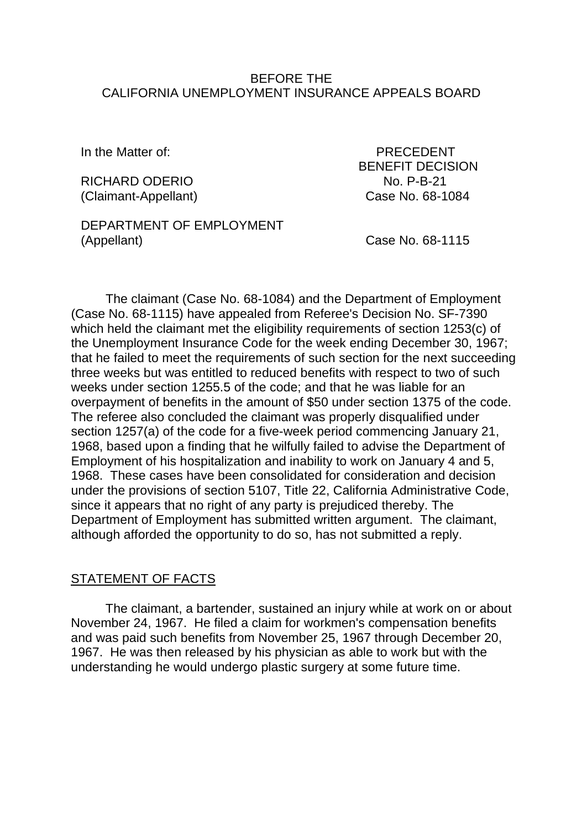#### BEFORE THE CALIFORNIA UNEMPLOYMENT INSURANCE APPEALS BOARD

RICHARD ODERIO NO. P-B-21 (Claimant-Appellant) Case No. 68-1084

In the Matter of: PRECEDENT BENEFIT DECISION

### DEPARTMENT OF EMPLOYMENT (Appellant) Case No. 68-1115

The claimant (Case No. 68-1084) and the Department of Employment (Case No. 68-1115) have appealed from Referee's Decision No. SF-7390 which held the claimant met the eligibility requirements of section 1253(c) of the Unemployment Insurance Code for the week ending December 30, 1967; that he failed to meet the requirements of such section for the next succeeding three weeks but was entitled to reduced benefits with respect to two of such weeks under section 1255.5 of the code; and that he was liable for an overpayment of benefits in the amount of \$50 under section 1375 of the code. The referee also concluded the claimant was properly disqualified under section 1257(a) of the code for a five-week period commencing January 21, 1968, based upon a finding that he wilfully failed to advise the Department of Employment of his hospitalization and inability to work on January 4 and 5, 1968. These cases have been consolidated for consideration and decision under the provisions of section 5107, Title 22, California Administrative Code, since it appears that no right of any party is prejudiced thereby. The Department of Employment has submitted written argument. The claimant, although afforded the opportunity to do so, has not submitted a reply.

### STATEMENT OF FACTS

The claimant, a bartender, sustained an injury while at work on or about November 24, 1967. He filed a claim for workmen's compensation benefits and was paid such benefits from November 25, 1967 through December 20, 1967. He was then released by his physician as able to work but with the understanding he would undergo plastic surgery at some future time.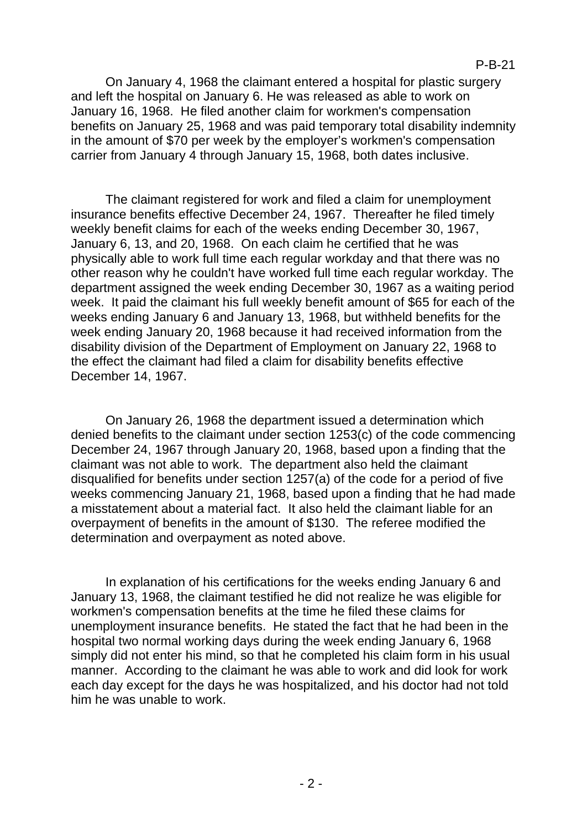On January 4, 1968 the claimant entered a hospital for plastic surgery and left the hospital on January 6. He was released as able to work on January 16, 1968. He filed another claim for workmen's compensation benefits on January 25, 1968 and was paid temporary total disability indemnity in the amount of \$70 per week by the employer's workmen's compensation carrier from January 4 through January 15, 1968, both dates inclusive.

The claimant registered for work and filed a claim for unemployment insurance benefits effective December 24, 1967. Thereafter he filed timely weekly benefit claims for each of the weeks ending December 30, 1967, January 6, 13, and 20, 1968. On each claim he certified that he was physically able to work full time each regular workday and that there was no other reason why he couldn't have worked full time each regular workday. The department assigned the week ending December 30, 1967 as a waiting period week. It paid the claimant his full weekly benefit amount of \$65 for each of the weeks ending January 6 and January 13, 1968, but withheld benefits for the week ending January 20, 1968 because it had received information from the disability division of the Department of Employment on January 22, 1968 to the effect the claimant had filed a claim for disability benefits effective December 14, 1967.

On January 26, 1968 the department issued a determination which denied benefits to the claimant under section 1253(c) of the code commencing December 24, 1967 through January 20, 1968, based upon a finding that the claimant was not able to work. The department also held the claimant disqualified for benefits under section 1257(a) of the code for a period of five weeks commencing January 21, 1968, based upon a finding that he had made a misstatement about a material fact. It also held the claimant liable for an overpayment of benefits in the amount of \$130. The referee modified the determination and overpayment as noted above.

In explanation of his certifications for the weeks ending January 6 and January 13, 1968, the claimant testified he did not realize he was eligible for workmen's compensation benefits at the time he filed these claims for unemployment insurance benefits. He stated the fact that he had been in the hospital two normal working days during the week ending January 6, 1968 simply did not enter his mind, so that he completed his claim form in his usual manner. According to the claimant he was able to work and did look for work each day except for the days he was hospitalized, and his doctor had not told him he was unable to work.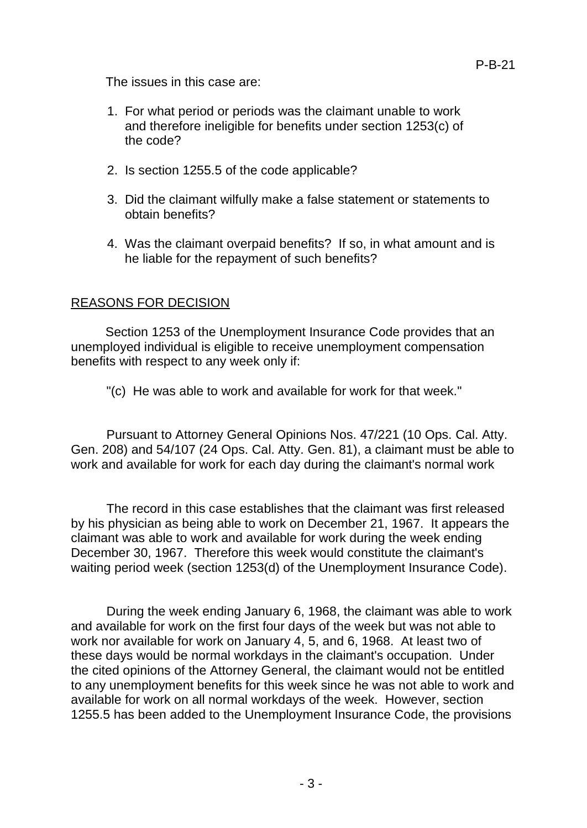The issues in this case are:

- 1. For what period or periods was the claimant unable to work and therefore ineligible for benefits under section 1253(c) of the code?
- 2. Is section 1255.5 of the code applicable?
- 3. Did the claimant wilfully make a false statement or statements to obtain benefits?
- 4. Was the claimant overpaid benefits? If so, in what amount and is he liable for the repayment of such benefits?

### REASONS FOR DECISION

Section 1253 of the Unemployment Insurance Code provides that an unemployed individual is eligible to receive unemployment compensation benefits with respect to any week only if:

"(c) He was able to work and available for work for that week."

Pursuant to Attorney General Opinions Nos. 47/221 (10 Ops. Cal. Atty. Gen. 208) and 54/107 (24 Ops. Cal. Atty. Gen. 81), a claimant must be able to work and available for work for each day during the claimant's normal work

The record in this case establishes that the claimant was first released by his physician as being able to work on December 21, 1967. It appears the claimant was able to work and available for work during the week ending December 30, 1967. Therefore this week would constitute the claimant's waiting period week (section 1253(d) of the Unemployment Insurance Code).

During the week ending January 6, 1968, the claimant was able to work and available for work on the first four days of the week but was not able to work nor available for work on January 4, 5, and 6, 1968. At least two of these days would be normal workdays in the claimant's occupation. Under the cited opinions of the Attorney General, the claimant would not be entitled to any unemployment benefits for this week since he was not able to work and available for work on all normal workdays of the week. However, section 1255.5 has been added to the Unemployment Insurance Code, the provisions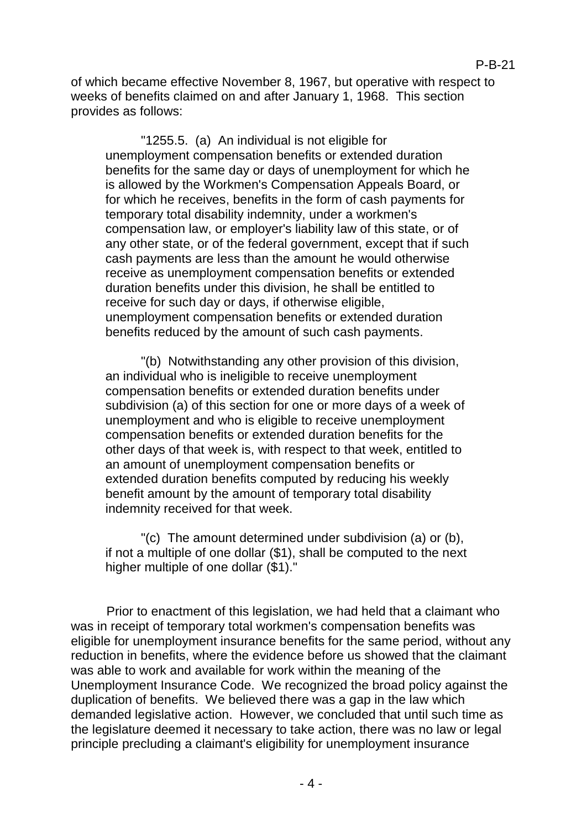of which became effective November 8, 1967, but operative with respect to weeks of benefits claimed on and after January 1, 1968. This section provides as follows:

"1255.5. (a) An individual is not eligible for unemployment compensation benefits or extended duration benefits for the same day or days of unemployment for which he is allowed by the Workmen's Compensation Appeals Board, or for which he receives, benefits in the form of cash payments for temporary total disability indemnity, under a workmen's compensation law, or employer's liability law of this state, or of any other state, or of the federal government, except that if such cash payments are less than the amount he would otherwise receive as unemployment compensation benefits or extended duration benefits under this division, he shall be entitled to receive for such day or days, if otherwise eligible, unemployment compensation benefits or extended duration benefits reduced by the amount of such cash payments.

"(b) Notwithstanding any other provision of this division, an individual who is ineligible to receive unemployment compensation benefits or extended duration benefits under subdivision (a) of this section for one or more days of a week of unemployment and who is eligible to receive unemployment compensation benefits or extended duration benefits for the other days of that week is, with respect to that week, entitled to an amount of unemployment compensation benefits or extended duration benefits computed by reducing his weekly benefit amount by the amount of temporary total disability indemnity received for that week.

"(c) The amount determined under subdivision (a) or (b), if not a multiple of one dollar (\$1), shall be computed to the next higher multiple of one dollar (\$1)."

Prior to enactment of this legislation, we had held that a claimant who was in receipt of temporary total workmen's compensation benefits was eligible for unemployment insurance benefits for the same period, without any reduction in benefits, where the evidence before us showed that the claimant was able to work and available for work within the meaning of the Unemployment Insurance Code. We recognized the broad policy against the duplication of benefits. We believed there was a gap in the law which demanded legislative action. However, we concluded that until such time as the legislature deemed it necessary to take action, there was no law or legal principle precluding a claimant's eligibility for unemployment insurance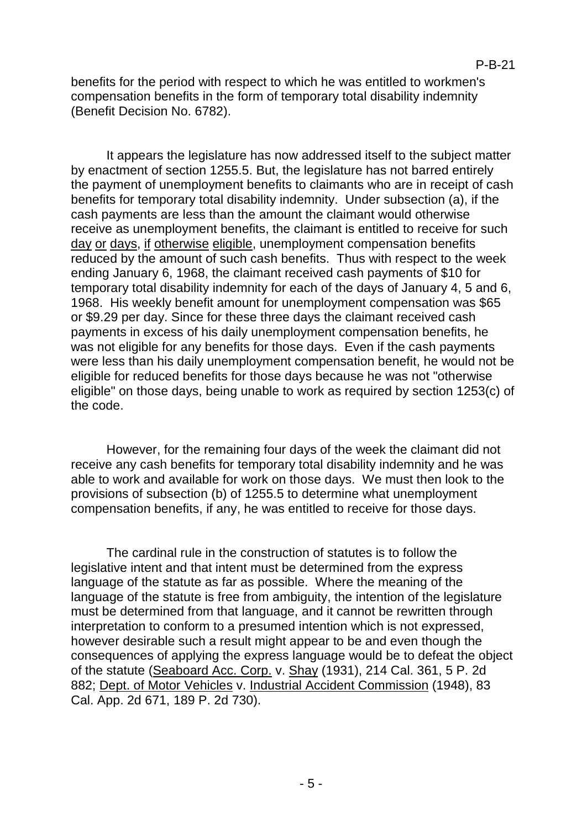benefits for the period with respect to which he was entitled to workmen's compensation benefits in the form of temporary total disability indemnity (Benefit Decision No. 6782).

It appears the legislature has now addressed itself to the subject matter by enactment of section 1255.5. But, the legislature has not barred entirely the payment of unemployment benefits to claimants who are in receipt of cash benefits for temporary total disability indemnity. Under subsection (a), if the cash payments are less than the amount the claimant would otherwise receive as unemployment benefits, the claimant is entitled to receive for such day or days, if otherwise eligible, unemployment compensation benefits reduced by the amount of such cash benefits. Thus with respect to the week ending January 6, 1968, the claimant received cash payments of \$10 for temporary total disability indemnity for each of the days of January 4, 5 and 6, 1968. His weekly benefit amount for unemployment compensation was \$65 or \$9.29 per day. Since for these three days the claimant received cash payments in excess of his daily unemployment compensation benefits, he was not eligible for any benefits for those days. Even if the cash payments were less than his daily unemployment compensation benefit, he would not be eligible for reduced benefits for those days because he was not "otherwise eligible" on those days, being unable to work as required by section 1253(c) of the code.

However, for the remaining four days of the week the claimant did not receive any cash benefits for temporary total disability indemnity and he was able to work and available for work on those days. We must then look to the provisions of subsection (b) of 1255.5 to determine what unemployment compensation benefits, if any, he was entitled to receive for those days.

The cardinal rule in the construction of statutes is to follow the legislative intent and that intent must be determined from the express language of the statute as far as possible. Where the meaning of the language of the statute is free from ambiguity, the intention of the legislature must be determined from that language, and it cannot be rewritten through interpretation to conform to a presumed intention which is not expressed, however desirable such a result might appear to be and even though the consequences of applying the express language would be to defeat the object of the statute (Seaboard Acc. Corp. v. Shay (1931), 214 Cal. 361, 5 P. 2d 882; Dept. of Motor Vehicles v. Industrial Accident Commission (1948), 83 Cal. App. 2d 671, 189 P. 2d 730).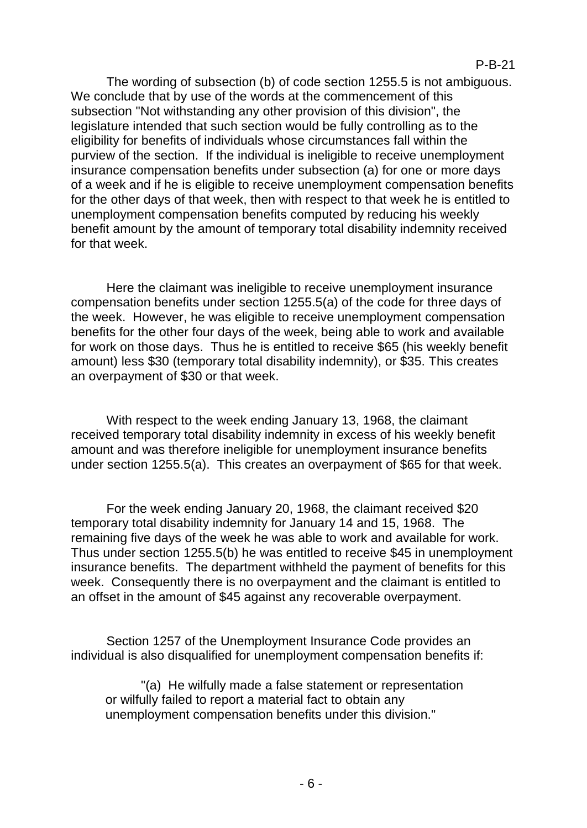The wording of subsection (b) of code section 1255.5 is not ambiguous. We conclude that by use of the words at the commencement of this subsection "Not withstanding any other provision of this division", the legislature intended that such section would be fully controlling as to the eligibility for benefits of individuals whose circumstances fall within the purview of the section. If the individual is ineligible to receive unemployment insurance compensation benefits under subsection (a) for one or more days of a week and if he is eligible to receive unemployment compensation benefits for the other days of that week, then with respect to that week he is entitled to unemployment compensation benefits computed by reducing his weekly benefit amount by the amount of temporary total disability indemnity received for that week.

Here the claimant was ineligible to receive unemployment insurance compensation benefits under section 1255.5(a) of the code for three days of the week. However, he was eligible to receive unemployment compensation benefits for the other four days of the week, being able to work and available for work on those days. Thus he is entitled to receive \$65 (his weekly benefit amount) less \$30 (temporary total disability indemnity), or \$35. This creates an overpayment of \$30 or that week.

With respect to the week ending January 13, 1968, the claimant received temporary total disability indemnity in excess of his weekly benefit amount and was therefore ineligible for unemployment insurance benefits under section 1255.5(a). This creates an overpayment of \$65 for that week.

For the week ending January 20, 1968, the claimant received \$20 temporary total disability indemnity for January 14 and 15, 1968. The remaining five days of the week he was able to work and available for work. Thus under section 1255.5(b) he was entitled to receive \$45 in unemployment insurance benefits. The department withheld the payment of benefits for this week. Consequently there is no overpayment and the claimant is entitled to an offset in the amount of \$45 against any recoverable overpayment.

Section 1257 of the Unemployment Insurance Code provides an individual is also disqualified for unemployment compensation benefits if:

"(a) He wilfully made a false statement or representation or wilfully failed to report a material fact to obtain any unemployment compensation benefits under this division."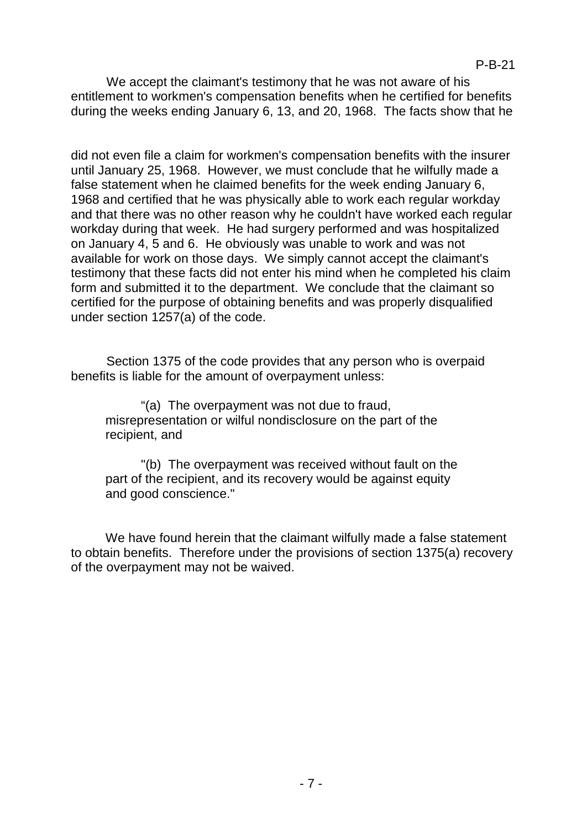We accept the claimant's testimony that he was not aware of his entitlement to workmen's compensation benefits when he certified for benefits during the weeks ending January 6, 13, and 20, 1968. The facts show that he

did not even file a claim for workmen's compensation benefits with the insurer until January 25, 1968. However, we must conclude that he wilfully made a false statement when he claimed benefits for the week ending January 6, 1968 and certified that he was physically able to work each regular workday and that there was no other reason why he couldn't have worked each regular workday during that week. He had surgery performed and was hospitalized on January 4, 5 and 6. He obviously was unable to work and was not available for work on those days. We simply cannot accept the claimant's testimony that these facts did not enter his mind when he completed his claim form and submitted it to the department. We conclude that the claimant so certified for the purpose of obtaining benefits and was properly disqualified under section 1257(a) of the code.

Section 1375 of the code provides that any person who is overpaid benefits is liable for the amount of overpayment unless:

"(a) The overpayment was not due to fraud, misrepresentation or wilful nondisclosure on the part of the recipient, and

"(b) The overpayment was received without fault on the part of the recipient, and its recovery would be against equity and good conscience."

We have found herein that the claimant wilfully made a false statement to obtain benefits. Therefore under the provisions of section 1375(a) recovery of the overpayment may not be waived.